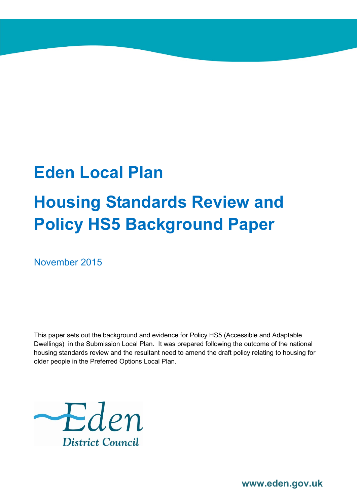## **Eden Local Plan**

# **Housing Standards Review and Policy HS5 Background Paper**

November 2015

This paper sets out the background and evidence for Policy HS5 (Accessible and Adaptable Dwellings) in the Submission Local Plan. It was prepared following the outcome of the national housing standards review and the resultant need to amend the draft policy relating to housing for older people in the Preferred Options Local Plan.



**www.eden.gov.uk**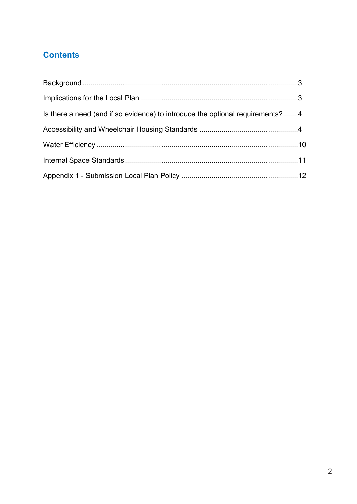## **Contents**

| Is there a need (and if so evidence) to introduce the optional requirements? 4 |  |
|--------------------------------------------------------------------------------|--|
|                                                                                |  |
|                                                                                |  |
|                                                                                |  |
|                                                                                |  |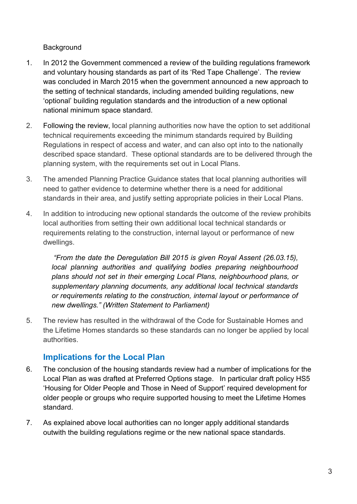#### **Background**

- 1. In 2012 the Government commenced a review of the building regulations framework and voluntary housing standards as part of its 'Red Tape Challenge'. The review was concluded in March 2015 when the government announced a new approach to the setting of technical standards, including amended building regulations, new 'optional' building regulation standards and the introduction of a new optional national minimum space standard.
- 2. Following the review, local planning authorities now have the option to set additional technical requirements exceeding the minimum standards required by Building Regulations in respect of access and water, and can also opt into to the nationally described space standard. These optional standards are to be delivered through the planning system, with the requirements set out in Local Plans.
- 3. The amended Planning Practice Guidance states that local planning authorities will need to gather evidence to determine whether there is a need for additional standards in their area, and justify setting appropriate policies in their Local Plans.
- 4. In addition to introducing new optional standards the outcome of the review prohibits local authorities from setting their own additional local technical standards or requirements relating to the construction, internal layout or performance of new dwellings.

*"From the date the Deregulation Bill 2015 is given Royal Assent (26.03.15), local planning authorities and qualifying bodies preparing neighbourhood plans should not set in their emerging Local Plans, neighbourhood plans, or supplementary planning documents, any additional local technical standards or requirements relating to the construction, internal layout or performance of new dwellings." (Written Statement to Parliament)*

5. The review has resulted in the withdrawal of the Code for Sustainable Homes and the Lifetime Homes standards so these standards can no longer be applied by local authorities.

### **Implications for the Local Plan**

- 6. The conclusion of the housing standards review had a number of implications for the Local Plan as was drafted at Preferred Options stage. In particular draft policy HS5 'Housing for Older People and Those in Need of Support' required development for older people or groups who require supported housing to meet the Lifetime Homes standard.
- 7. As explained above local authorities can no longer apply additional standards outwith the building regulations regime or the new national space standards.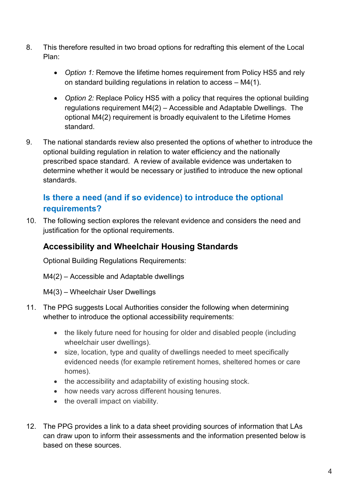- 8. This therefore resulted in two broad options for redrafting this element of the Local Plan:
	- *Option 1:* Remove the lifetime homes requirement from Policy HS5 and rely on standard building regulations in relation to access – M4(1).
	- *Option 2:* Replace Policy HS5 with a policy that requires the optional building regulations requirement M4(2) – Accessible and Adaptable Dwellings. The optional M4(2) requirement is broadly equivalent to the Lifetime Homes standard.
- 9. The national standards review also presented the options of whether to introduce the optional building regulation in relation to water efficiency and the nationally prescribed space standard. A review of available evidence was undertaken to determine whether it would be necessary or justified to introduce the new optional standards.

## **Is there a need (and if so evidence) to introduce the optional requirements?**

10. The following section explores the relevant evidence and considers the need and justification for the optional requirements.

## **Accessibility and Wheelchair Housing Standards**

Optional Building Regulations Requirements:

- M4(2) Accessible and Adaptable dwellings
- M4(3) Wheelchair User Dwellings
- 11. The PPG suggests Local Authorities consider the following when determining whether to introduce the optional accessibility requirements:
	- the likely future need for housing for older and disabled people (including wheelchair user dwellings).
	- size, location, type and quality of dwellings needed to meet specifically evidenced needs (for example retirement homes, sheltered homes or care homes).
	- the accessibility and adaptability of existing housing stock.
	- how needs vary across different housing tenures.
	- the overall impact on viability.
- 12. The PPG provides a link to a data sheet providing sources of information that LAs can draw upon to inform their assessments and the information presented below is based on these sources.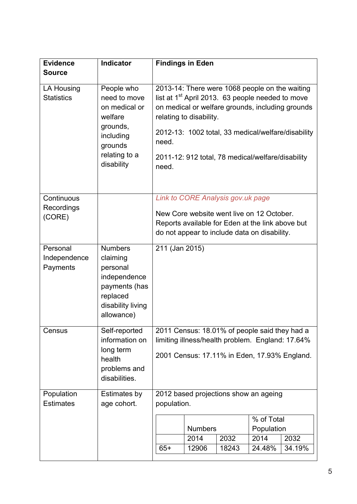| <b>Source</b><br>2013-14: There were 1068 people on the waiting<br>People who<br>LA Housing<br>list at 1 <sup>st</sup> April 2013. 63 people needed to move<br><b>Statistics</b><br>need to move<br>on medical or welfare grounds, including grounds<br>on medical or<br>welfare<br>relating to disability.<br>grounds,<br>2012-13: 1002 total, 33 medical/welfare/disability<br>including<br>need.<br>grounds<br>relating to a<br>2011-12: 912 total, 78 medical/welfare/disability<br>disability<br>need.<br>Continuous<br>Link to CORE Analysis gov.uk page<br>Recordings<br>New Core website went live on 12 October.<br>(CORE)<br>Reports available for Eden at the link above but<br>do not appear to include data on disability.<br>Personal<br><b>Numbers</b><br>211 (Jan 2015)<br>Independence<br>claiming<br>Payments<br>personal<br>independence<br>payments (has<br>replaced<br>disability living<br>allowance)<br>2011 Census: 18.01% of people said they had a<br>Census<br>Self-reported<br>information on<br>limiting illness/health problem. England: 17.64%<br>long term<br>2001 Census: 17.11% in Eden, 17.93% England.<br>health<br>problems and<br>disabilities.<br>2012 based projections show an ageing<br>Population<br>Estimates by<br><b>Estimates</b><br>age cohort.<br>population.<br>% of Total<br><b>Numbers</b><br>Population<br>2032<br>2014<br>2032<br>2014<br>$65+$<br>18243<br>24.48%<br>34.19%<br>12906 | <b>Evidence</b> | <b>Indicator</b> |  | <b>Findings in Eden</b> |  |  |  |
|---------------------------------------------------------------------------------------------------------------------------------------------------------------------------------------------------------------------------------------------------------------------------------------------------------------------------------------------------------------------------------------------------------------------------------------------------------------------------------------------------------------------------------------------------------------------------------------------------------------------------------------------------------------------------------------------------------------------------------------------------------------------------------------------------------------------------------------------------------------------------------------------------------------------------------------------------------------------------------------------------------------------------------------------------------------------------------------------------------------------------------------------------------------------------------------------------------------------------------------------------------------------------------------------------------------------------------------------------------------------------------------------------------------------------------------------|-----------------|------------------|--|-------------------------|--|--|--|
|                                                                                                                                                                                                                                                                                                                                                                                                                                                                                                                                                                                                                                                                                                                                                                                                                                                                                                                                                                                                                                                                                                                                                                                                                                                                                                                                                                                                                                             |                 |                  |  |                         |  |  |  |
|                                                                                                                                                                                                                                                                                                                                                                                                                                                                                                                                                                                                                                                                                                                                                                                                                                                                                                                                                                                                                                                                                                                                                                                                                                                                                                                                                                                                                                             |                 |                  |  |                         |  |  |  |
|                                                                                                                                                                                                                                                                                                                                                                                                                                                                                                                                                                                                                                                                                                                                                                                                                                                                                                                                                                                                                                                                                                                                                                                                                                                                                                                                                                                                                                             |                 |                  |  |                         |  |  |  |
|                                                                                                                                                                                                                                                                                                                                                                                                                                                                                                                                                                                                                                                                                                                                                                                                                                                                                                                                                                                                                                                                                                                                                                                                                                                                                                                                                                                                                                             |                 |                  |  |                         |  |  |  |
|                                                                                                                                                                                                                                                                                                                                                                                                                                                                                                                                                                                                                                                                                                                                                                                                                                                                                                                                                                                                                                                                                                                                                                                                                                                                                                                                                                                                                                             |                 |                  |  |                         |  |  |  |
|                                                                                                                                                                                                                                                                                                                                                                                                                                                                                                                                                                                                                                                                                                                                                                                                                                                                                                                                                                                                                                                                                                                                                                                                                                                                                                                                                                                                                                             |                 |                  |  |                         |  |  |  |
|                                                                                                                                                                                                                                                                                                                                                                                                                                                                                                                                                                                                                                                                                                                                                                                                                                                                                                                                                                                                                                                                                                                                                                                                                                                                                                                                                                                                                                             |                 |                  |  |                         |  |  |  |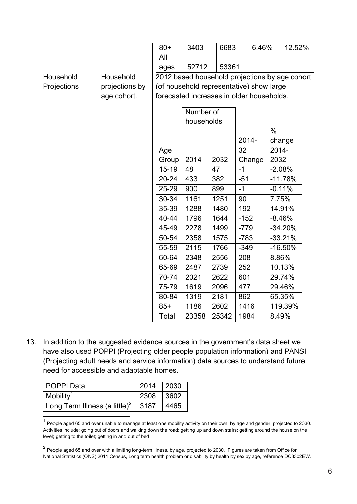|             |                | $80+$                                          | 3403       | 6683  |                                          | 6.46%         | 12.52% |  |
|-------------|----------------|------------------------------------------------|------------|-------|------------------------------------------|---------------|--------|--|
|             |                | All                                            |            |       |                                          |               |        |  |
|             |                | ages                                           | 52712      | 53361 |                                          |               |        |  |
| Household   | Household      | 2012 based household projections by age cohort |            |       |                                          |               |        |  |
| Projections | projections by |                                                |            |       | (of household representative) show large |               |        |  |
|             | age cohort.    | forecasted increases in older households.      |            |       |                                          |               |        |  |
|             |                |                                                | Number of  |       |                                          |               |        |  |
|             |                |                                                | households |       |                                          |               |        |  |
|             |                |                                                |            |       |                                          | $\frac{0}{0}$ |        |  |
|             |                |                                                |            |       | 2014-                                    | change        |        |  |
|             |                | Age                                            |            |       | 32                                       | 2014-         |        |  |
|             |                | Group                                          | 2014       | 2032  | Change                                   | 2032          |        |  |
|             |                | $15-19$                                        | 48         | 47    | $-1$                                     | $-2.08%$      |        |  |
|             |                | $20 - 24$                                      | 433        | 382   | $-51$                                    | $-11.78%$     |        |  |
|             |                | 25-29                                          | 900        | 899   | $-1$                                     | $-0.11%$      |        |  |
|             |                | 30-34                                          | 1161       | 1251  | 90                                       | 7.75%         |        |  |
|             |                | 35-39                                          | 1288       | 1480  | 192                                      | 14.91%        |        |  |
|             |                | 40-44                                          | 1796       | 1644  | $-152$                                   | $-8.46%$      |        |  |
|             |                | 45-49                                          | 2278       | 1499  | $-779$                                   | $-34.20%$     |        |  |
|             |                | 50-54                                          | 2358       | 1575  | $-783$                                   | $-33.21%$     |        |  |
|             |                | 55-59                                          | 2115       | 1766  | $-349$                                   | $-16.50%$     |        |  |
|             |                | 60-64                                          | 2348       | 2556  | 208                                      | 8.86%         |        |  |
|             |                | 65-69                                          | 2487       | 2739  | 252                                      | 10.13%        |        |  |
|             |                | 70-74                                          | 2021       | 2622  | 601                                      | 29.74%        |        |  |
|             |                | 75-79                                          | 1619       | 2096  | 477                                      | 29.46%        |        |  |
|             |                | 80-84                                          | 1319       | 2181  | 862                                      | 65.35%        |        |  |
|             |                | $85+$                                          | 1186       | 2602  | 1416                                     | 119.39%       |        |  |
|             |                | Total                                          | 23358      | 25342 | 1984                                     | 8.49%         |        |  |

13. In addition to the suggested evidence sources in the government's data sheet we have also used POPPI (Projecting older people population information) and PANSI (Projecting adult needs and service information) data sources to understand future need for accessible and adaptable homes.

| <b>POPPI Data</b>                                | 2014 | 2030 |
|--------------------------------------------------|------|------|
| Mobility <sup>1</sup>                            | 2308 | 3602 |
| Long Term Illness (a little) <sup>2</sup>   3187 |      | 4465 |
|                                                  |      |      |

 $1$  People aged 65 and over unable to manage at least one mobility activity on their own, by age and gender, projected to 2030. Activities include: going out of doors and walking down the road; getting up and down stairs; getting around the house on the level; getting to the toilet; getting in and out of bed

 $2$  People aged 65 and over with a limiting long-term illness, by age, projected to 2030. Figures are taken from Office for National Statistics (ONS) 2011 Census, Long term health problem or disability by health by sex by age, reference DC3302EW.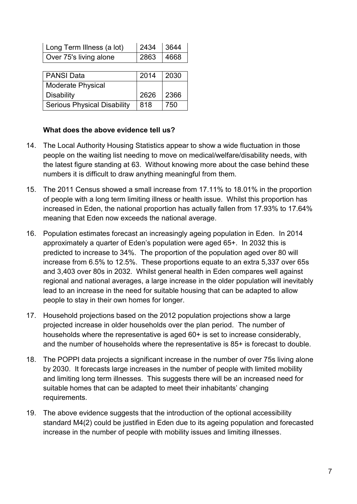| Long Term Illness (a lot) | 2434 3644 |  |
|---------------------------|-----------|--|
| Over 75's living alone    | 2863 4668 |  |

| <b>PANSI Data</b>                  | 2014 | 2030 |
|------------------------------------|------|------|
| <b>Moderate Physical</b>           |      |      |
| <b>Disability</b>                  | 2626 | 2366 |
| <b>Serious Physical Disability</b> | 818  | 750  |

#### **What does the above evidence tell us?**

- 14. The Local Authority Housing Statistics appear to show a wide fluctuation in those people on the waiting list needing to move on medical/welfare/disability needs, with the latest figure standing at 63. Without knowing more about the case behind these numbers it is difficult to draw anything meaningful from them.
- 15. The 2011 Census showed a small increase from 17.11% to 18.01% in the proportion of people with a long term limiting illness or health issue. Whilst this proportion has increased in Eden, the national proportion has actually fallen from 17.93% to 17.64% meaning that Eden now exceeds the national average.
- 16. Population estimates forecast an increasingly ageing population in Eden. In 2014 approximately a quarter of Eden's population were aged 65+. In 2032 this is predicted to increase to 34%. The proportion of the population aged over 80 will increase from 6.5% to 12.5%. These proportions equate to an extra 5,337 over 65s and 3,403 over 80s in 2032. Whilst general health in Eden compares well against regional and national averages, a large increase in the older population will inevitably lead to an increase in the need for suitable housing that can be adapted to allow people to stay in their own homes for longer.
- 17. Household projections based on the 2012 population projections show a large projected increase in older households over the plan period. The number of households where the representative is aged 60+ is set to increase considerably, and the number of households where the representative is 85+ is forecast to double.
- 18. The POPPI data projects a significant increase in the number of over 75s living alone by 2030. It forecasts large increases in the number of people with limited mobility and limiting long term illnesses. This suggests there will be an increased need for suitable homes that can be adapted to meet their inhabitants' changing requirements.
- 19. The above evidence suggests that the introduction of the optional accessibility standard M4(2) could be justified in Eden due to its ageing population and forecasted increase in the number of people with mobility issues and limiting illnesses.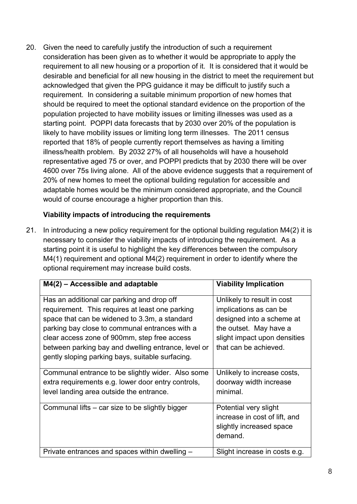20. Given the need to carefully justify the introduction of such a requirement consideration has been given as to whether it would be appropriate to apply the requirement to all new housing or a proportion of it. It is considered that it would be desirable and beneficial for all new housing in the district to meet the requirement but acknowledged that given the PPG guidance it may be difficult to justify such a requirement. In considering a suitable minimum proportion of new homes that should be required to meet the optional standard evidence on the proportion of the population projected to have mobility issues or limiting illnesses was used as a starting point. POPPI data forecasts that by 2030 over 20% of the population is likely to have mobility issues or limiting long term illnesses. The 2011 census reported that 18% of people currently report themselves as having a limiting illness/health problem. By 2032 27% of all households will have a household representative aged 75 or over, and POPPI predicts that by 2030 there will be over 4600 over 75s living alone. All of the above evidence suggests that a requirement of 20% of new homes to meet the optional building regulation for accessible and adaptable homes would be the minimum considered appropriate, and the Council would of course encourage a higher proportion than this.

#### **Viability impacts of introducing the requirements**

21. In introducing a new policy requirement for the optional building regulation M4(2) it is necessary to consider the viability impacts of introducing the requirement. As a starting point it is useful to highlight the key differences between the compulsory M4(1) requirement and optional M4(2) requirement in order to identify where the optional requirement may increase build costs.

| $M4(2)$ – Accessible and adaptable                                                                                                                                                                                                                                                                                                                          | <b>Viability Implication</b>                                                                                                                                         |
|-------------------------------------------------------------------------------------------------------------------------------------------------------------------------------------------------------------------------------------------------------------------------------------------------------------------------------------------------------------|----------------------------------------------------------------------------------------------------------------------------------------------------------------------|
| Has an additional car parking and drop off<br>requirement. This requires at least one parking<br>space that can be widened to 3.3m, a standard<br>parking bay close to communal entrances with a<br>clear access zone of 900mm, step free access<br>between parking bay and dwelling entrance, level or<br>gently sloping parking bays, suitable surfacing. | Unlikely to result in cost<br>implications as can be<br>designed into a scheme at<br>the outset. May have a<br>slight impact upon densities<br>that can be achieved. |
| Communal entrance to be slightly wider. Also some<br>extra requirements e.g. lower door entry controls,<br>level landing area outside the entrance.                                                                                                                                                                                                         | Unlikely to increase costs,<br>doorway width increase<br>minimal.                                                                                                    |
| Communal lifts – car size to be slightly bigger                                                                                                                                                                                                                                                                                                             | Potential very slight<br>increase in cost of lift, and<br>slightly increased space<br>demand.                                                                        |
| Private entrances and spaces within dwelling –                                                                                                                                                                                                                                                                                                              | Slight increase in costs e.g.                                                                                                                                        |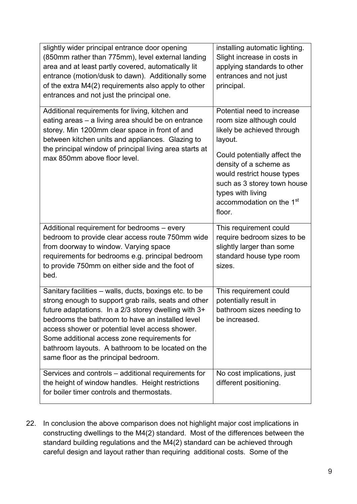| slightly wider principal entrance door opening<br>(850mm rather than 775mm), level external landing<br>area and at least partly covered, automatically lit<br>entrance (motion/dusk to dawn). Additionally some<br>of the extra M4(2) requirements also apply to other<br>entrances and not just the principal one.                                                                                                        | installing automatic lighting.<br>Slight increase in costs in<br>applying standards to other<br>entrances and not just<br>principal.                                                                                                                                                          |
|----------------------------------------------------------------------------------------------------------------------------------------------------------------------------------------------------------------------------------------------------------------------------------------------------------------------------------------------------------------------------------------------------------------------------|-----------------------------------------------------------------------------------------------------------------------------------------------------------------------------------------------------------------------------------------------------------------------------------------------|
| Additional requirements for living, kitchen and<br>eating areas - a living area should be on entrance<br>storey. Min 1200mm clear space in front of and<br>between kitchen units and appliances. Glazing to<br>the principal window of principal living area starts at<br>max 850mm above floor level.                                                                                                                     | Potential need to increase<br>room size although could<br>likely be achieved through<br>layout.<br>Could potentially affect the<br>density of a scheme as<br>would restrict house types<br>such as 3 storey town house<br>types with living<br>accommodation on the 1 <sup>st</sup><br>floor. |
| Additional requirement for bedrooms - every<br>bedroom to provide clear access route 750mm wide<br>from doorway to window. Varying space<br>requirements for bedrooms e.g. principal bedroom<br>to provide 750mm on either side and the foot of<br>bed.                                                                                                                                                                    | This requirement could<br>require bedroom sizes to be<br>slightly larger than some<br>standard house type room<br>sizes.                                                                                                                                                                      |
| Sanitary facilities - walls, ducts, boxings etc. to be<br>strong enough to support grab rails, seats and other<br>future adaptations. In a 2/3 storey dwelling with 3+<br>bedrooms the bathroom to have an installed level<br>access shower or potential level access shower.<br>Some additional access zone requirements for<br>bathroom layouts. A bathroom to be located on the<br>same floor as the principal bedroom. | This requirement could<br>potentially result in<br>bathroom sizes needing to<br>be increased.                                                                                                                                                                                                 |
| Services and controls – additional requirements for<br>the height of window handles. Height restrictions<br>for boiler timer controls and thermostats.                                                                                                                                                                                                                                                                     | No cost implications, just<br>different positioning.                                                                                                                                                                                                                                          |

22. In conclusion the above comparison does not highlight major cost implications in constructing dwellings to the M4(2) standard. Most of the differences between the standard building regulations and the M4(2) standard can be achieved through careful design and layout rather than requiring additional costs. Some of the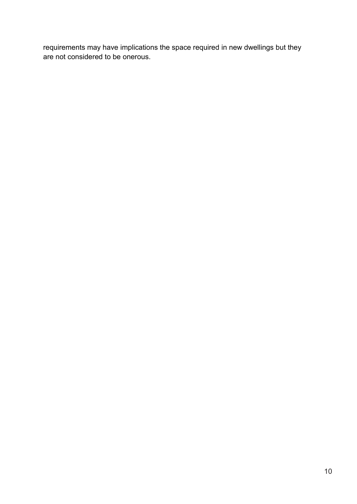requirements may have implications the space required in new dwellings but they are not considered to be onerous.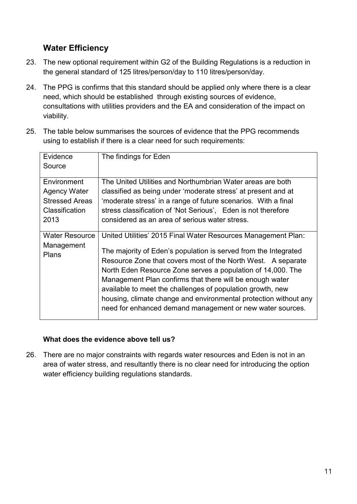## **Water Efficiency**

- 23. The new optional requirement within G2 of the Building Regulations is a reduction in the general standard of 125 litres/person/day to 110 litres/person/day.
- 24. The PPG is confirms that this standard should be applied only where there is a clear need, which should be established through existing sources of evidence, consultations with utilities providers and the EA and consideration of the impact on viability.
- 25. The table below summarises the sources of evidence that the PPG recommends using to establish if there is a clear need for such requirements:

| Evidence<br>Source                                                                    | The findings for Eden                                                                                                                                                                                                                                                                                                                                                                                                                                                                                                      |
|---------------------------------------------------------------------------------------|----------------------------------------------------------------------------------------------------------------------------------------------------------------------------------------------------------------------------------------------------------------------------------------------------------------------------------------------------------------------------------------------------------------------------------------------------------------------------------------------------------------------------|
| Environment<br><b>Agency Water</b><br><b>Stressed Areas</b><br>Classification<br>2013 | The United Utilities and Northumbrian Water areas are both<br>classified as being under 'moderate stress' at present and at<br>'moderate stress' in a range of future scenarios. With a final<br>stress classification of 'Not Serious'. Eden is not therefore<br>considered as an area of serious water stress.                                                                                                                                                                                                           |
| <b>Water Resource</b><br>Management<br><b>Plans</b>                                   | United Utilities' 2015 Final Water Resources Management Plan:<br>The majority of Eden's population is served from the Integrated<br>Resource Zone that covers most of the North West. A separate<br>North Eden Resource Zone serves a population of 14,000. The<br>Management Plan confirms that there will be enough water<br>available to meet the challenges of population growth, new<br>housing, climate change and environmental protection without any<br>need for enhanced demand management or new water sources. |

#### **What does the evidence above tell us?**

26. There are no major constraints with regards water resources and Eden is not in an area of water stress, and resultantly there is no clear need for introducing the option water efficiency building regulations standards.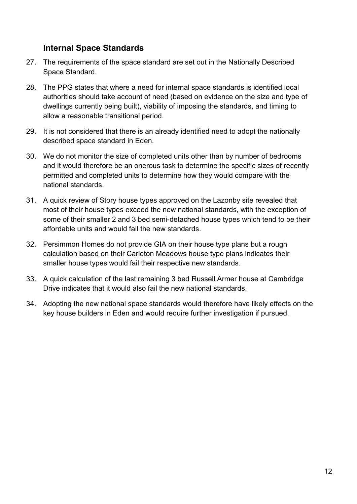## **Internal Space Standards**

- 27. The requirements of the space standard are set out in the Nationally Described Space Standard.
- 28. The PPG states that where a need for internal space standards is identified local authorities should take account of need (based on evidence on the size and type of dwellings currently being built), viability of imposing the standards, and timing to allow a reasonable transitional period.
- 29. It is not considered that there is an already identified need to adopt the nationally described space standard in Eden.
- 30. We do not monitor the size of completed units other than by number of bedrooms and it would therefore be an onerous task to determine the specific sizes of recently permitted and completed units to determine how they would compare with the national standards.
- 31. A quick review of Story house types approved on the Lazonby site revealed that most of their house types exceed the new national standards, with the exception of some of their smaller 2 and 3 bed semi-detached house types which tend to be their affordable units and would fail the new standards.
- 32. Persimmon Homes do not provide GIA on their house type plans but a rough calculation based on their Carleton Meadows house type plans indicates their smaller house types would fail their respective new standards.
- 33. A quick calculation of the last remaining 3 bed Russell Armer house at Cambridge Drive indicates that it would also fail the new national standards.
- 34. Adopting the new national space standards would therefore have likely effects on the key house builders in Eden and would require further investigation if pursued.